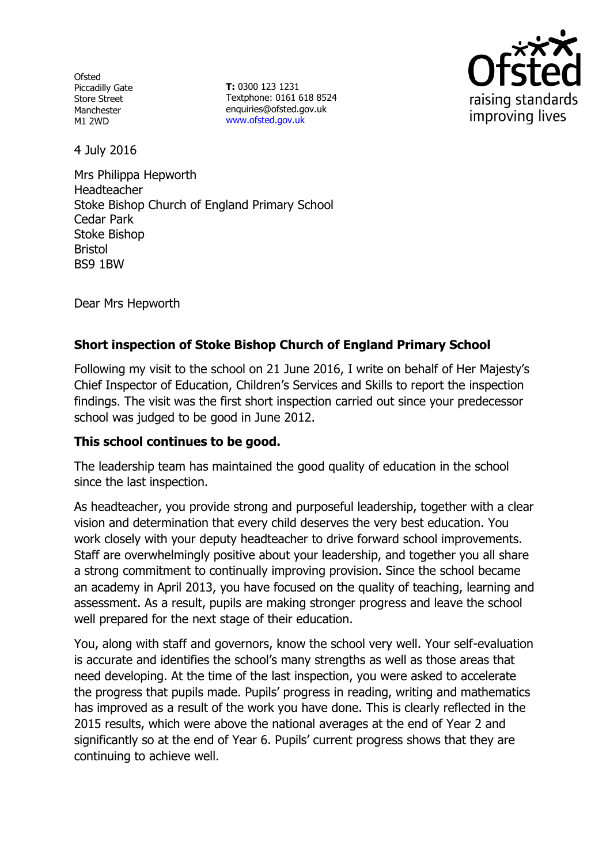Ofsted Piccadilly Gate Store Street Manchester M1 2WD

**T:** 0300 123 1231 Textphone: 0161 618 8524 enquiries@ofsted.gov.uk www.ofsted.gov.uk



4 July 2016

Mrs Philippa Hepworth Headteacher Stoke Bishop Church of England Primary School Cedar Park Stoke Bishop Bristol BS9 1BW

Dear Mrs Hepworth

# **Short inspection of Stoke Bishop Church of England Primary School**

Following my visit to the school on 21 June 2016, I write on behalf of Her Majesty's Chief Inspector of Education, Children's Services and Skills to report the inspection findings. The visit was the first short inspection carried out since your predecessor school was judged to be good in June 2012.

## **This school continues to be good.**

The leadership team has maintained the good quality of education in the school since the last inspection.

As headteacher, you provide strong and purposeful leadership, together with a clear vision and determination that every child deserves the very best education. You work closely with your deputy headteacher to drive forward school improvements. Staff are overwhelmingly positive about your leadership, and together you all share a strong commitment to continually improving provision. Since the school became an academy in April 2013, you have focused on the quality of teaching, learning and assessment. As a result, pupils are making stronger progress and leave the school well prepared for the next stage of their education.

You, along with staff and governors, know the school very well. Your self-evaluation is accurate and identifies the school's many strengths as well as those areas that need developing. At the time of the last inspection, you were asked to accelerate the progress that pupils made. Pupils' progress in reading, writing and mathematics has improved as a result of the work you have done. This is clearly reflected in the 2015 results, which were above the national averages at the end of Year 2 and significantly so at the end of Year 6. Pupils' current progress shows that they are continuing to achieve well.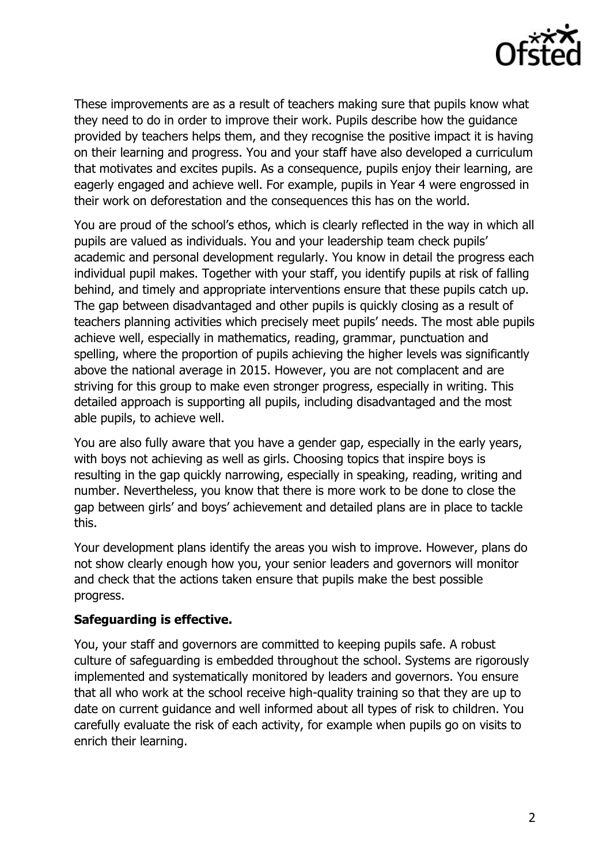

These improvements are as a result of teachers making sure that pupils know what they need to do in order to improve their work. Pupils describe how the guidance provided by teachers helps them, and they recognise the positive impact it is having on their learning and progress. You and your staff have also developed a curriculum that motivates and excites pupils. As a consequence, pupils enjoy their learning, are eagerly engaged and achieve well. For example, pupils in Year 4 were engrossed in their work on deforestation and the consequences this has on the world.

You are proud of the school's ethos, which is clearly reflected in the way in which all pupils are valued as individuals. You and your leadership team check pupils' academic and personal development regularly. You know in detail the progress each individual pupil makes. Together with your staff, you identify pupils at risk of falling behind, and timely and appropriate interventions ensure that these pupils catch up. The gap between disadvantaged and other pupils is quickly closing as a result of teachers planning activities which precisely meet pupils' needs. The most able pupils achieve well, especially in mathematics, reading, grammar, punctuation and spelling, where the proportion of pupils achieving the higher levels was significantly above the national average in 2015. However, you are not complacent and are striving for this group to make even stronger progress, especially in writing. This detailed approach is supporting all pupils, including disadvantaged and the most able pupils, to achieve well.

You are also fully aware that you have a gender gap, especially in the early years, with boys not achieving as well as girls. Choosing topics that inspire boys is resulting in the gap quickly narrowing, especially in speaking, reading, writing and number. Nevertheless, you know that there is more work to be done to close the gap between girls' and boys' achievement and detailed plans are in place to tackle this.

Your development plans identify the areas you wish to improve. However, plans do not show clearly enough how you, your senior leaders and governors will monitor and check that the actions taken ensure that pupils make the best possible progress.

### **Safeguarding is effective.**

You, your staff and governors are committed to keeping pupils safe. A robust culture of safeguarding is embedded throughout the school. Systems are rigorously implemented and systematically monitored by leaders and governors. You ensure that all who work at the school receive high-quality training so that they are up to date on current guidance and well informed about all types of risk to children. You carefully evaluate the risk of each activity, for example when pupils go on visits to enrich their learning.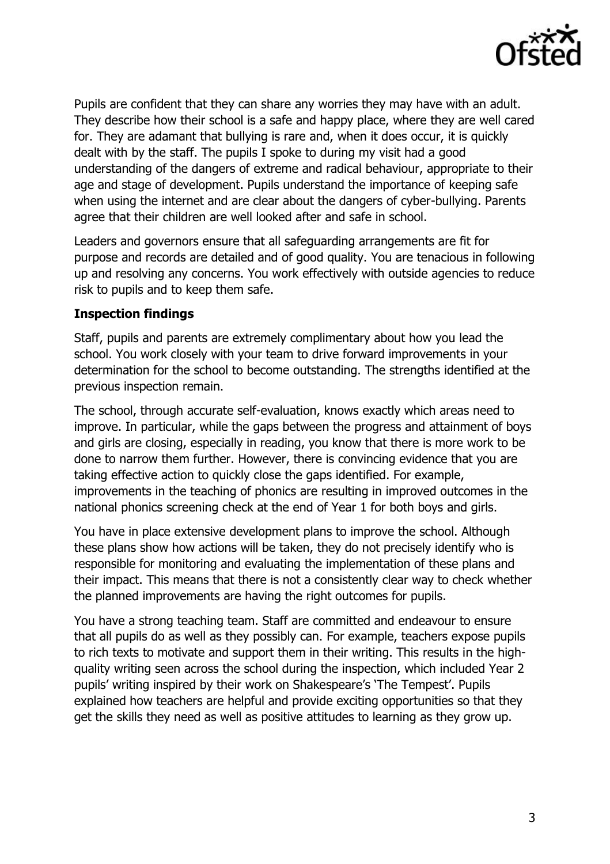

Pupils are confident that they can share any worries they may have with an adult. They describe how their school is a safe and happy place, where they are well cared for. They are adamant that bullying is rare and, when it does occur, it is quickly dealt with by the staff. The pupils I spoke to during my visit had a good understanding of the dangers of extreme and radical behaviour, appropriate to their age and stage of development. Pupils understand the importance of keeping safe when using the internet and are clear about the dangers of cyber-bullying. Parents agree that their children are well looked after and safe in school.

Leaders and governors ensure that all safeguarding arrangements are fit for purpose and records are detailed and of good quality. You are tenacious in following up and resolving any concerns. You work effectively with outside agencies to reduce risk to pupils and to keep them safe.

### **Inspection findings**

Staff, pupils and parents are extremely complimentary about how you lead the school. You work closely with your team to drive forward improvements in your determination for the school to become outstanding. The strengths identified at the previous inspection remain.

The school, through accurate self-evaluation, knows exactly which areas need to improve. In particular, while the gaps between the progress and attainment of boys and girls are closing, especially in reading, you know that there is more work to be done to narrow them further. However, there is convincing evidence that you are taking effective action to quickly close the gaps identified. For example, improvements in the teaching of phonics are resulting in improved outcomes in the national phonics screening check at the end of Year 1 for both boys and girls.

You have in place extensive development plans to improve the school. Although these plans show how actions will be taken, they do not precisely identify who is responsible for monitoring and evaluating the implementation of these plans and their impact. This means that there is not a consistently clear way to check whether the planned improvements are having the right outcomes for pupils.

You have a strong teaching team. Staff are committed and endeavour to ensure that all pupils do as well as they possibly can. For example, teachers expose pupils to rich texts to motivate and support them in their writing. This results in the highquality writing seen across the school during the inspection, which included Year 2 pupils' writing inspired by their work on Shakespeare's 'The Tempest'. Pupils explained how teachers are helpful and provide exciting opportunities so that they get the skills they need as well as positive attitudes to learning as they grow up.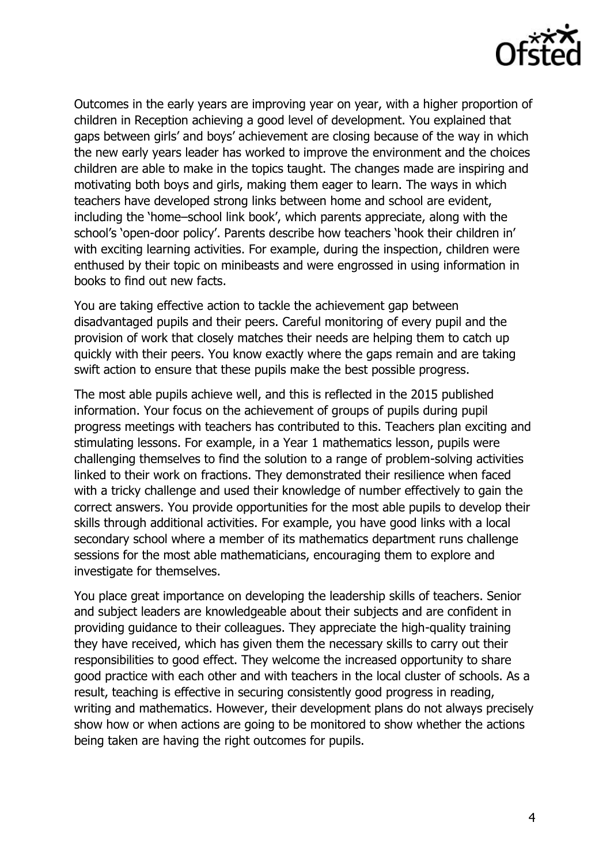

Outcomes in the early years are improving year on year, with a higher proportion of children in Reception achieving a good level of development. You explained that gaps between girls' and boys' achievement are closing because of the way in which the new early years leader has worked to improve the environment and the choices children are able to make in the topics taught. The changes made are inspiring and motivating both boys and girls, making them eager to learn. The ways in which teachers have developed strong links between home and school are evident, including the 'home–school link book', which parents appreciate, along with the school's 'open-door policy'. Parents describe how teachers 'hook their children in' with exciting learning activities. For example, during the inspection, children were enthused by their topic on minibeasts and were engrossed in using information in books to find out new facts.

You are taking effective action to tackle the achievement gap between disadvantaged pupils and their peers. Careful monitoring of every pupil and the provision of work that closely matches their needs are helping them to catch up quickly with their peers. You know exactly where the gaps remain and are taking swift action to ensure that these pupils make the best possible progress.

The most able pupils achieve well, and this is reflected in the 2015 published information. Your focus on the achievement of groups of pupils during pupil progress meetings with teachers has contributed to this. Teachers plan exciting and stimulating lessons. For example, in a Year 1 mathematics lesson, pupils were challenging themselves to find the solution to a range of problem-solving activities linked to their work on fractions. They demonstrated their resilience when faced with a tricky challenge and used their knowledge of number effectively to gain the correct answers. You provide opportunities for the most able pupils to develop their skills through additional activities. For example, you have good links with a local secondary school where a member of its mathematics department runs challenge sessions for the most able mathematicians, encouraging them to explore and investigate for themselves.

You place great importance on developing the leadership skills of teachers. Senior and subject leaders are knowledgeable about their subjects and are confident in providing guidance to their colleagues. They appreciate the high-quality training they have received, which has given them the necessary skills to carry out their responsibilities to good effect. They welcome the increased opportunity to share good practice with each other and with teachers in the local cluster of schools. As a result, teaching is effective in securing consistently good progress in reading, writing and mathematics. However, their development plans do not always precisely show how or when actions are going to be monitored to show whether the actions being taken are having the right outcomes for pupils.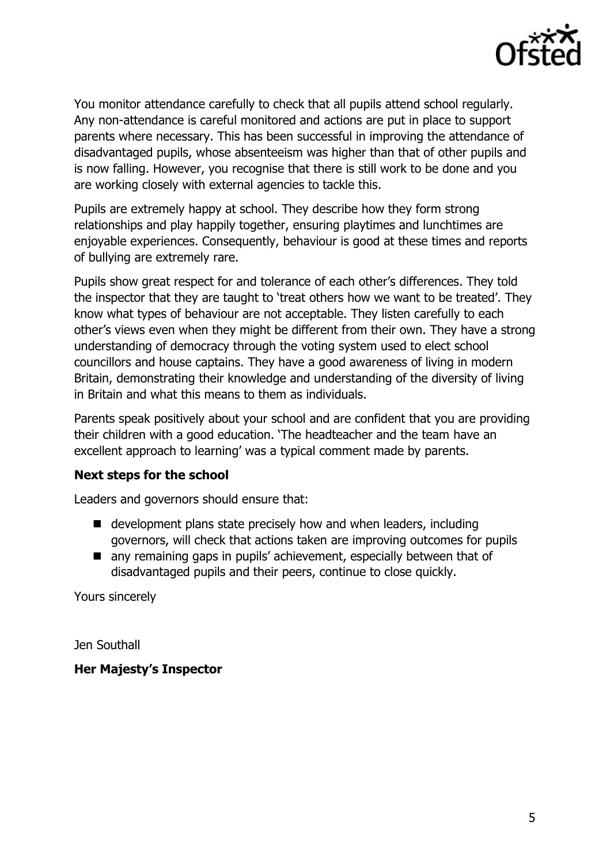

You monitor attendance carefully to check that all pupils attend school regularly. Any non-attendance is careful monitored and actions are put in place to support parents where necessary. This has been successful in improving the attendance of disadvantaged pupils, whose absenteeism was higher than that of other pupils and is now falling. However, you recognise that there is still work to be done and you are working closely with external agencies to tackle this.

Pupils are extremely happy at school. They describe how they form strong relationships and play happily together, ensuring playtimes and lunchtimes are enjoyable experiences. Consequently, behaviour is good at these times and reports of bullying are extremely rare.

Pupils show great respect for and tolerance of each other's differences. They told the inspector that they are taught to 'treat others how we want to be treated'. They know what types of behaviour are not acceptable. They listen carefully to each other's views even when they might be different from their own. They have a strong understanding of democracy through the voting system used to elect school councillors and house captains. They have a good awareness of living in modern Britain, demonstrating their knowledge and understanding of the diversity of living in Britain and what this means to them as individuals.

Parents speak positively about your school and are confident that you are providing their children with a good education. 'The headteacher and the team have an excellent approach to learning' was a typical comment made by parents.

### **Next steps for the school**

Leaders and governors should ensure that:

- development plans state precisely how and when leaders, including governors, will check that actions taken are improving outcomes for pupils
- any remaining gaps in pupils' achievement, especially between that of disadvantaged pupils and their peers, continue to close quickly.

Yours sincerely

Jen Southall

### **Her Majesty's Inspector**